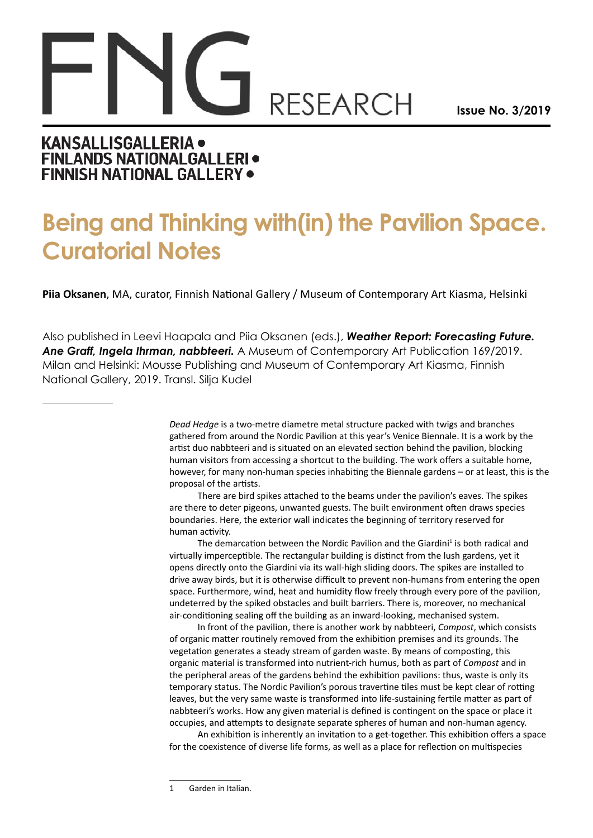## **RESEARCH**

**Issue No. 3/2019**

## **KANSALLISGALLERIA . FINLANDS NATIONALGALLERI · FINNISH NATIONAL GALLERY .**

## **Being and Thinking with(in) the Pavilion Space. Curatorial Notes**

**Piia Oksanen**, MA, curator, Finnish National Gallery / Museum of Contemporary Art Kiasma, Helsinki

Also published in Leevi Haapala and Piia Oksanen (eds.), *Weather Report: Forecasting Future. Ane Graff, Ingela Ihrman, nabbteeri.* A Museum of Contemporary Art Publication 169/2019. Milan and Helsinki: Mousse Publishing and Museum of Contemporary Art Kiasma, Finnish National Gallery, 2019. Transl. Silja Kudel

> *Dead Hedge* is a two-metre diametre metal structure packed with twigs and branches gathered from around the Nordic Pavilion at this year's Venice Biennale. It is a work by the artist duo nabbteeri and is situated on an elevated section behind the pavilion, blocking human visitors from accessing a shortcut to the building. The work offers a suitable home, however, for many non-human species inhabiting the Biennale gardens – or at least, this is the proposal of the artists.

There are bird spikes attached to the beams under the pavilion's eaves. The spikes are there to deter pigeons, unwanted guests. The built environment often draws species boundaries. Here, the exterior wall indicates the beginning of territory reserved for human activity.

The demarcation between the Nordic Pavilion and the Giardini<sup>1</sup> is both radical and virtually imperceptible. The rectangular building is distinct from the lush gardens, yet it opens directly onto the Giardini via its wall-high sliding doors. The spikes are installed to drive away birds, but it is otherwise difficult to prevent non-humans from entering the open space. Furthermore, wind, heat and humidity flow freely through every pore of the pavilion, undeterred by the spiked obstacles and built barriers. There is, moreover, no mechanical air-conditioning sealing off the building as an inward-looking, mechanised system.

In front of the pavilion, there is another work by nabbteeri, *Compost*, which consists of organic matter routinely removed from the exhibition premises and its grounds. The vegetation generates a steady stream of garden waste. By means of composting, this organic material is transformed into nutrient-rich humus, both as part of *Compost* and in the peripheral areas of the gardens behind the exhibition pavilions: thus, waste is only its temporary status. The Nordic Pavilion's porous travertine tiles must be kept clear of rotting leaves, but the very same waste is transformed into life-sustaining fertile matter as part of nabbteeri's works. How any given material is defined is contingent on the space or place it occupies, and attempts to designate separate spheres of human and non-human agency.

An exhibition is inherently an invitation to a get-together. This exhibition offers a space for the coexistence of diverse life forms, as well as a place for reflection on multispecies

<sup>1</sup> Garden in Italian.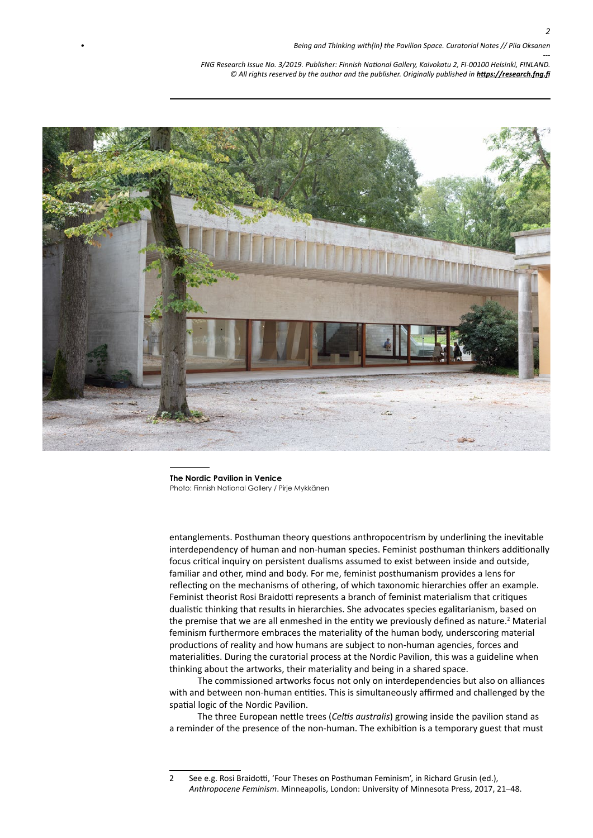*2*

*--- FNG Research Issue No. 3/2019. Publisher: Finnish National Gallery, Kaivokatu 2, FI-00100 Helsinki, FINLAND.* © All rights reserved by the author and the publisher. Originally published in **<https://research.fng.fi>** 



**The Nordic Pavilion in Venice**  Photo: Finnish National Gallery / Pirje Mykkänen

entanglements. Posthuman theory questions anthropocentrism by underlining the inevitable interdependency of human and non-human species. Feminist posthuman thinkers additionally focus critical inquiry on persistent dualisms assumed to exist between inside and outside, familiar and other, mind and body. For me, feminist posthumanism provides a lens for reflecting on the mechanisms of othering, of which taxonomic hierarchies offer an example. Feminist theorist Rosi Braidotti represents a branch of feminist materialism that critiques dualistic thinking that results in hierarchies. She advocates species egalitarianism, based on the premise that we are all enmeshed in the entity we previously defined as nature.<sup>2</sup> Material feminism furthermore embraces the materiality of the human body, underscoring material productions of reality and how humans are subject to non-human agencies, forces and materialities. During the curatorial process at the Nordic Pavilion, this was a guideline when thinking about the artworks, their materiality and being in a shared space.

The commissioned artworks focus not only on interdependencies but also on alliances with and between non-human entities. This is simultaneously affirmed and challenged by the spatial logic of the Nordic Pavilion.

The three European nettle trees (*Celtis australis*) growing inside the pavilion stand as a reminder of the presence of the non-human. The exhibition is a temporary guest that must

<sup>2</sup> See e.g. Rosi Braidotti, 'Four Theses on Posthuman Feminism', in Richard Grusin (ed.), *Anthropocene Feminism*. Minneapolis, London: University of Minnesota Press, 2017, 21–48.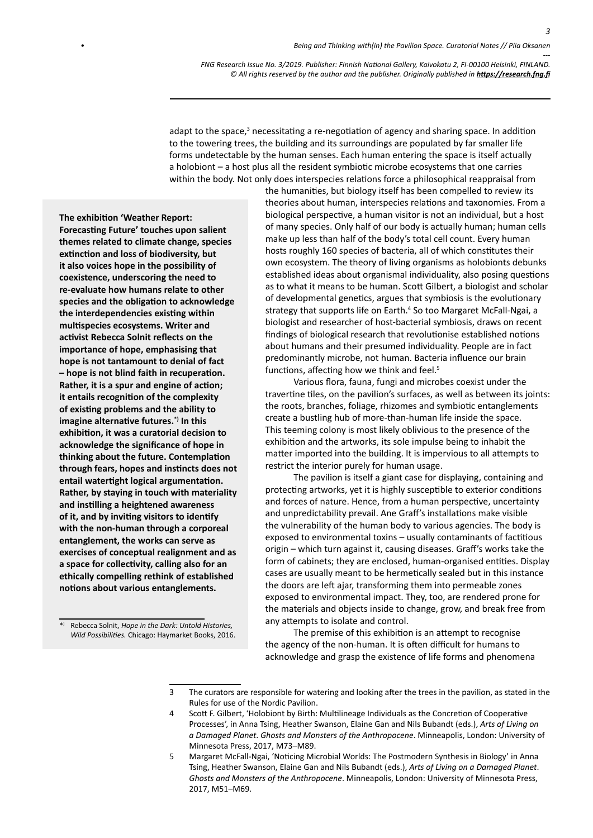*3*

*--- FNG Research Issue No. 3/2019. Publisher: Finnish National Gallery, Kaivokatu 2, FI-00100 Helsinki, FINLAND.* © All rights reserved by the author and the publisher. Originally published in **<https://research.fng.fi>** 

adapt to the space,<sup>3</sup> necessitating a re-negotiation of agency and sharing space. In addition to the towering trees, the building and its surroundings are populated by far smaller life forms undetectable by the human senses. Each human entering the space is itself actually a holobiont – a host plus all the resident symbiotic microbe ecosystems that one carries within the body. Not only does interspecies relations force a philosophical reappraisal from

**The exhibition 'Weather Report: Forecasting Future' touches upon salient themes related to climate change, species extinction and loss of biodiversity, but it also voices hope in the possibility of coexistence, underscoring the need to re-evaluate how humans relate to other species and the obligation to acknowledge the interdependencies existing within multispecies ecosystems. Writer and activist Rebecca Solnit reflects on the importance of hope, emphasising that hope is not tantamount to denial of fact – hope is not blind faith in recuperation. Rather, it is a spur and engine of action; it entails recognition of the complexity of existing problems and the ability to imagine alternative futures.\*) In this exhibition, it was a curatorial decision to acknowledge the significance of hope in thinking about the future. Contemplation through fears, hopes and instincts does not entail watertight logical argumentation. Rather, by staying in touch with materiality and instilling a heightened awareness of it, and by inviting visitors to identify with the non-human through a corporeal entanglement, the works can serve as exercises of conceptual realignment and as a space for collectivity, calling also for an ethically compelling rethink of established notions about various entanglements.**

\*) Rebecca Solnit, *Hope in the Dark: Untold Histories, Wild Possibilities.* Chicago: Haymarket Books, 2016. the humanities, but biology itself has been compelled to review its theories about human, interspecies relations and taxonomies. From a biological perspective, a human visitor is not an individual, but a host of many species. Only half of our body is actually human; human cells make up less than half of the body's total cell count. Every human hosts roughly 160 species of bacteria, all of which constitutes their own ecosystem. The theory of living organisms as holobionts debunks established ideas about organismal individuality, also posing questions as to what it means to be human. Scott Gilbert, a biologist and scholar of developmental genetics, argues that symbiosis is the evolutionary strategy that supports life on Earth.<sup>4</sup> So too Margaret McFall-Ngai, a biologist and researcher of host-bacterial symbiosis, draws on recent findings of biological research that revolutionise established notions about humans and their presumed individuality. People are in fact predominantly microbe, not human. Bacteria influence our brain functions, affecting how we think and feel.<sup>5</sup>

Various flora, fauna, fungi and microbes coexist under the travertine tiles, on the pavilion's surfaces, as well as between its joints: the roots, branches, foliage, rhizomes and symbiotic entanglements create a bustling hub of more-than-human life inside the space. This teeming colony is most likely oblivious to the presence of the exhibition and the artworks, its sole impulse being to inhabit the matter imported into the building. It is impervious to all attempts to restrict the interior purely for human usage.

The pavilion is itself a giant case for displaying, containing and protecting artworks, yet it is highly susceptible to exterior conditions and forces of nature. Hence, from a human perspective, uncertainty and unpredictability prevail. Ane Graff's installations make visible the vulnerability of the human body to various agencies. The body is exposed to environmental toxins – usually contaminants of factitious origin – which turn against it, causing diseases. Graff's works take the form of cabinets; they are enclosed, human-organised entities. Display cases are usually meant to be hermetically sealed but in this instance the doors are left ajar, transforming them into permeable zones exposed to environmental impact. They, too, are rendered prone for the materials and objects inside to change, grow, and break free from any attempts to isolate and control.

The premise of this exhibition is an attempt to recognise the agency of the non-human. It is often difficult for humans to acknowledge and grasp the existence of life forms and phenomena

- 3 The curators are responsible for watering and looking after the trees in the pavilion, as stated in the Rules for use of the Nordic Pavilion.
- 4 Scott F. Gilbert, 'Holobiont by Birth: Multilineage Individuals as the Concretion of Cooperative Processes', in Anna Tsing, Heather Swanson, Elaine Gan and Nils Bubandt (eds.), *Arts of Living on a Damaged Planet*. *Ghosts and Monsters of the Anthropocene*. Minneapolis, London: University of Minnesota Press, 2017, M73–M89.
- 5 Margaret McFall-Ngai, 'Noticing Microbial Worlds: The Postmodern Synthesis in Biology' in Anna Tsing, Heather Swanson, Elaine Gan and Nils Bubandt (eds.), *Arts of Living on a Damaged Planet*. *Ghosts and Monsters of the Anthropocene*. Minneapolis, London: University of Minnesota Press, 2017, M51–M69.